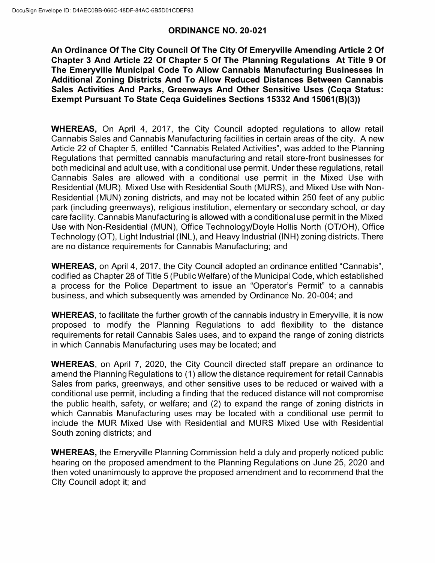### **ORDINANCE NO. 20-021**

**An Ordinance Of The City Council Of The City Of Emeryville Amending Article 2 Of Chapter 3 And Article 22 Of Chapter 5 Of The Planning Regulations At Title 9 Of The Emeryville Municipal Code To Allow Cannabis Manufacturing Businesses In Additional Zoning Districts And To Allow Reduced Distances Between Cannabis Sales Activities And Parks, Greenways And Other Sensitive Uses (Ceqa Status: Exempt Pursuant To State Ceqa Guidelines Sections 15332 And 15061(8)(3))** 

**WHEREAS,** On April 4, 2017, the City Council adopted regulations to allow retail Cannabis Sales and Cannabis Manufacturing facilities in certain areas of the city. A new Article 22 of Chapter 5, entitled "Cannabis Related Activities", was added to the Planning Regulations that permitted cannabis manufacturing and retail store-front businesses for both medicinal and adult use, with a conditional use permit. Under these regulations, retail Cannabis Sales are allowed with a conditional use permit in the Mixed Use with Residential (MUR), Mixed Use with Residential South (MURS), and Mixed Use with Non-Residential (MUN) zoning districts, and may not be located within 250 feet of any public park (including greenways), religious institution, elementary or secondary school, or day care facility. CannabisManufacturing is allowed with a conditional use permit in the Mixed Use with Non-Residential (MUN), Office Technology/Doyle Hollis North (OT/OH), Ofice Technology (OT), Light Industrial (INL), and Heavy Industrial (INH) zoning districts. There are no distance requirements for Cannabis Manufacturing; and

**WHEREAS,** on April 4, 2017, the City Council adopted an ordinance entitled "Cannabis", codified as Chapter 28 of Title 5 (Public Welfare) of theMunicipal Code, which established a process for the Police Department to issue an "Operator's Permit" to a cannabis business, and which subsequently was amended by Ordinance No. 20-004; and

**WHEREAS,** to facilitate the further growth of the cannabis industry in Emeryville, it is now proposed to modify the Planning Regulations to add flexibility to the distance requirements for retail Cannabis Sales uses, and to expand the range of zoning districts in which Cannabis Manufacturing uses may be located; and

**WHEREAS,** on April 7, 2020, the City Council directed staff prepare an ordinance to amend the Planning Regulations to (1) allow the distance requirement for retail Cannabis Sales from parks, greenways, and other sensitive uses to be reduced or waived with a conditional use permit, including a finding that the reduced distance will not compromise the public health, safety, or welfare; and (2) to expand the range of zoning districts in which Cannabis Manufacturing uses may be located with a conditional use permit to include the MUR Mixed Use with Residential and MURS Mixed Use with Residential South zoning districts; and

**WHEREAS,** the Emeryville Planning Commission held a duly and properly noticed public hearing on the proposed amendment to the Planning Regulations on June 25, 2020 and then voted unanimously to approve the proposed amendment and to recommend that the City Council adopt it; and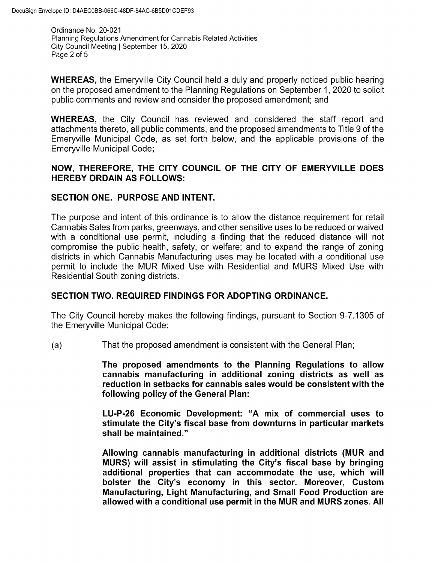Ordinance No. 20-021 Planning Regulations Amendment for Cannabis Related Activities City Council Meeting | September 15, 2020 Page 2 of 5

WHEREAS, the Emeryville City Council held a duly and properly noticed public hearing on the proposed amendment to the Planning Regulations on September 1, 2020 to solicit public comments and review and consider the proposed amendment; and

WHEREAS, the City Council has reviewed and considered the staff report and attachments thereto, all public comments, and the proposed amendments to Title 9 of the Emeryville Municipal Code, as set forth below, and the applicable provisions of the Emeryville Municipal Code;

## NOW, THEREFORE, THE CITY COUNCIL OF THE CITY OF EMERYVILLE DOES HEREBY ORDAIN AS FOLLOWS:

## SECTION ONE. PURPOSE AND INTENT.

The purpose and intent of this ordinance is to allow the distance requirement for retail Cannabis Sales from parks, greenways, and other sensitive uses to be reduced or waived with a conditional use permit, including a finding that the reduced distance will not compromise the public health, safety, or welfare; and to expand the range of zoning districts in which Cannabis Manufacturing uses may be located with a conditional use permit to include the MUR Mixed Use with Residential and MURS Mixed Use with Residential South zoning districts.

# SECTION TWO. REQUIRED FINDINGS FOR ADOPTING ORDINANCE.

The City Council hereby makes the following findings, pursuant to Section 9 -7.1305 of the Emeryville Municipal Code:

a) That the proposed amendment is consistent with the General Plan;

The proposed amendments to the Planning Regulations to allow cannabis manufacturing in additional zoning districts as well as reduction in setbacks for cannabis sales would be consistent with the following policy of the General Plan:

LU-P-26 Economic Development: "A mix of commercial uses to stimulate the City's fiscal base from downturns in particular markets shall be maintained."

Allowing cannabis manufacturing in additional districts (MUR and MURS) will assist in stimulating the City's fiscal base by bringing additional properties that can accommodate the use, which will bolster the City's economy in this sector. Moreover, Custom Manufacturing, Light Manufacturing, and Small Food Production are allowed with a conditional use permit in the MUR and MURS zones. All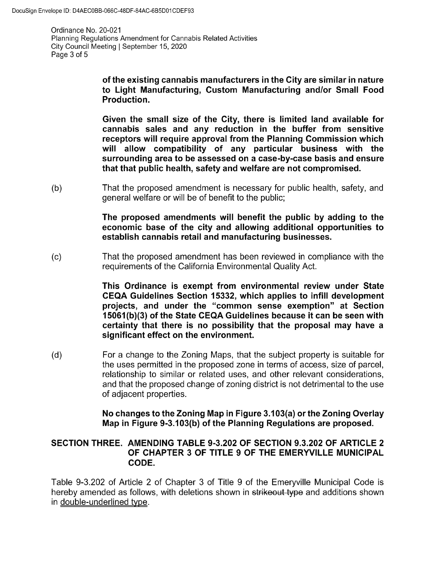Ordinance No. 20-021 Planning Regulations Amendment for Cannabis Related Activities City Council Meeting | September 15, 2020 Page 3 of 5

> of the existing cannabis manufacturers in the City are similar in nature to Light Manufacturing, Custom Manufacturing and/or Small Food Production.

> Given the small size of the City, there is limited land available for cannabis sales and any reduction in the buffer from sensitive receptors will require approval from the Planning Commission which will allow compatibility of any particular business with the surrounding area to be assessed on a case-by-case basis and ensure that that public health, safety and welfare are not compromised.

b) That the proposed amendment is necessary for public health, safety, and general welfare or will be of benefit to the public;

> The proposed amendments will benefit the public by adding to the economic base of the city and allowing additional opportunities to establish cannabis retail and manufacturing businesses.

c) That the proposed amendment has been reviewed in compliance with the requirements of the California Environmental Quality Act.

> This Ordinance is exempt from environmental review under State CEQA Guidelines Section 15332, which applies to infill development projects, and under the "common sense exemption" at Section 15061(b)(3) of the State CEQA Guidelines because it can be seen with certainty that there is no possibility that the proposal may have a significant effect on the environment.

d) For a change to the Zoning Maps, that the subject property is suitable for the uses permitted in the proposed zone in terms of access, size of parcel, relationship to similar or related uses, and other relevant considerations, and that the proposed change of zoning district is not detrimental to the use of adjacent properties.

> No changes to the Zoning Map in Figure 3.103(a) or the Zoning Overlay Map in Figure 9-3.103(b) of the Planning Regulations are proposed.

### SECTION THREE. AMENDING TABLE 9-3.202 OF SECTION 9.3.202 OF ARTICLE 2 OF CHAPTER 3 OF TITLE 9 OF THE EMERYVILLE MUNICIPAL CODE.

Table 9-3.202 of Article 2 of Chapter 3 of Title 9 of the Emeryville Municipal Code is hereby amended as follows, with deletions shown in strikeout type and additions shown in double-underlined type.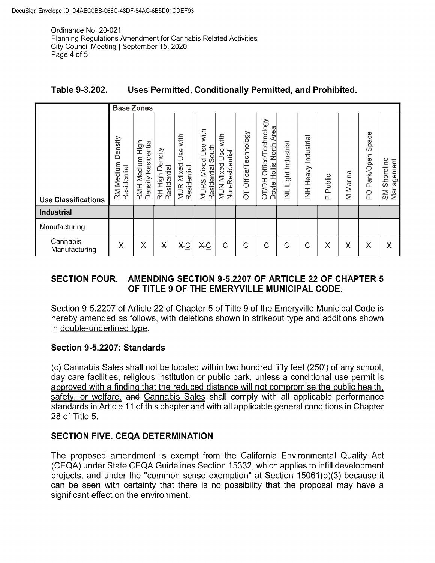Ordinance No. 20-021 Planning Regulations Amendment for Cannabis Related Activities City Council Meeting | September 15, 2020 Page 4 of 5

| Table 9-3.202. |  | Uses Permitted, Conditionally Permitted, and Prohibited. |
|----------------|--|----------------------------------------------------------|
|----------------|--|----------------------------------------------------------|

|                            |                                        | <b>Base Zones</b>                         |                                |                                                |                                                                       |                                                    |                        |                                                                               |                                               |                                         |                    |          |                                 |                                      |
|----------------------------|----------------------------------------|-------------------------------------------|--------------------------------|------------------------------------------------|-----------------------------------------------------------------------|----------------------------------------------------|------------------------|-------------------------------------------------------------------------------|-----------------------------------------------|-----------------------------------------|--------------------|----------|---------------------------------|--------------------------------------|
| <b>Use Classifications</b> | Density<br>Medium<br>Residential<br>RM | Density Residential<br>High<br>RMH Medium | RH High Density<br>Residential | with<br>Use<br><b>MUR Mixed</b><br>Residential | with<br><b>Mixed Use</b><br>South<br>Residential<br>MURS <sub>I</sub> | with<br>Use<br>Non-Residential<br><b>MUN Mixed</b> | Office/Technology<br>5 | echnology<br>Area<br>North<br>-<br>Office/<br>Hollis<br><b>HULLO</b><br>Doyle | Light Industrial<br>$\overline{\overline{z}}$ | Industrial<br>Heavy<br>$\overline{\Xi}$ | Public<br>$\Omega$ | M Marina | Space<br>Park/Open<br><b>PO</b> | Shoreline<br>Management<br><b>SM</b> |
| <b>Industrial</b>          |                                        |                                           |                                |                                                |                                                                       |                                                    |                        |                                                                               |                                               |                                         |                    |          |                                 |                                      |
| Manufacturing              |                                        |                                           |                                |                                                |                                                                       |                                                    |                        |                                                                               |                                               |                                         |                    |          |                                 |                                      |
| Cannabis<br>Manufacturing  | X                                      | X                                         | $\boldsymbol{\times}$          | X <sub>C</sub>                                 | X <sub>C</sub>                                                        | С                                                  | С                      | С                                                                             | С                                             | С                                       | X                  | X        | X                               | X                                    |

# SECTION FOUR. AMENDING SECTION 9-5.2207 OF ARTICLE 22 OF CHAPTER 5 OF TITLE 9 OF THE EMERYVILLE MUNICIPAL CODE.

OF TITLE 9 OF THE EMERYVILLE MUNICIPAL CODE.<br>Section 9-5.2207 of Article 22 of Chapter 5 of Title 9 of the Emeryville Municipal Code is<br>hereby amended as follows, with deletions shown in strikeout type and additions shown<br> **CFT**<br>Section 9-5.2207 of Articl<br>hereby amended as follo<br>in <u>double-underlined type</u> hereby amended as follows, with deletions shown in <del>strikeout type</del> and additions shown in <u>double-underlined type</u>.<br>In <u>double-underlined type</u>.<br>**Section 9-5.2207: Standards** 

hereby amended as follows, with deletions shown in <del>strikeout type</del> and additions shown<br>in <u>double-underlined type</u>.<br>**Section 9-5.2207: Standards**<br>(c) Cannabis Sales shall not be located within two hundred fifty feet (250' In <u>double-underlined type</u>.<br>Section 9-5.2207: Standards<br>(c) Cannabis Sales shall not be located within two hundred fifty feet (250') of any school,<br>day care facilities, religious institution or public park, <u>unless a cond</u> (c) Cannabis Cales shall not be located within two handred lifty feet (200) of any school, day care facilities, religious institution or public park, <u>unless a conditional use permit is</u> approved with a finding that the re  $28$  of Title 5. safety, or welfare, and Cannabis Sales shall comply with all applicable performance<br>standards in Article 11 of this chapter and with all applicable general conditions in Chapter<br>28 of Title 5.<br>**SECTION FIVE. CEQA DETERMINA** 

# **SECTION FIVE. CEQA DETERMINATION**

The proposed amendment is exempt from the California Environmental Quality Act<br>(CEQA) under State CEQA Guidelines Section 15332, which applies to infill development<br>projects, and under the "common sense exemption" at Secti projects, and under the "common sense exemption" at Section 15061(b)(3) because it can be seen with certainty that there is no possibility that the proposal may have a significant effect on the environment. can be seen with certainty that there is no possibility that the proposal may have a